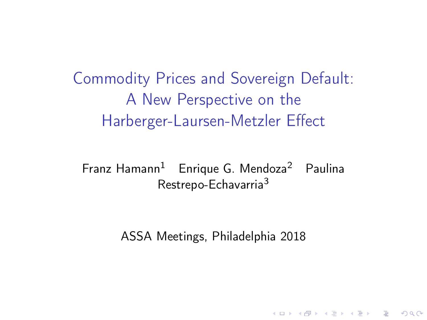<span id="page-0-0"></span>Commodity Prices and Sovereign Default: A New Perspective on the Harberger-Laursen-Metzler Effect

Franz Hamann<sup>1</sup> Enrique G. Mendoza<sup>2</sup> Paulina Restrepo-Echavarria<sup>3</sup>

ASSA Meetings, Philadelphia 2018

K ロ ▶ K @ ▶ K 할 > K 할 > 1 할 > 1 ⊙ Q Q ^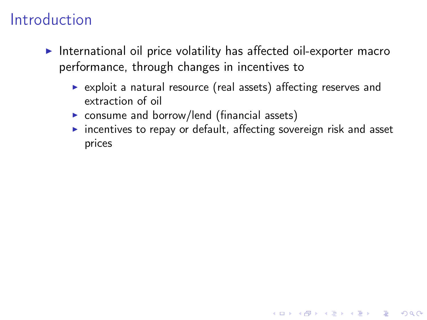# Introduction

- $\blacktriangleright$  International oil price volatility has affected oil-exporter macro performance, through changes in incentives to
	- $\triangleright$  exploit a natural resource (real assets) affecting reserves and extraction of oil
	- $\triangleright$  consume and borrow/lend (financial assets)
	- $\triangleright$  incentives to repay or default, affecting sovereign risk and asset prices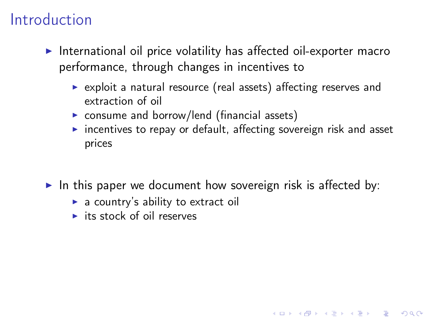# Introduction

- $\blacktriangleright$  International oil price volatility has affected oil-exporter macro performance, through changes in incentives to
	- $\triangleright$  exploit a natural resource (real assets) affecting reserves and extraction of oil
	- $\triangleright$  consume and borrow/lend (financial assets)
	- $\triangleright$  incentives to repay or default, affecting sovereign risk and asset prices

**KORKA REPARATION ADD** 

- In this paper we document how sovereign risk is affected by:
	- $\blacktriangleright$  a country's ability to extract oil
	- $\blacktriangleright$  its stock of oil reserves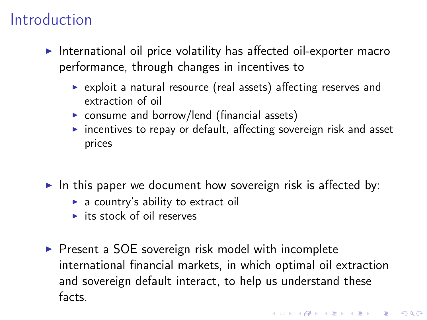# Introduction

- $\blacktriangleright$  International oil price volatility has affected oil-exporter macro performance, through changes in incentives to
	- $\triangleright$  exploit a natural resource (real assets) affecting reserves and extraction of oil
	- $\triangleright$  consume and borrow/lend (financial assets)
	- $\triangleright$  incentives to repay or default, affecting sovereign risk and asset prices
- In this paper we document how sovereign risk is affected by:
	- $\blacktriangleright$  a country's ability to extract oil
	- $\blacktriangleright$  its stock of oil reserves
- $\triangleright$  Present a SOE sovereign risk model with incomplete international financial markets, in which optimal oil extraction and sovereign default interact, to help us understand these facts.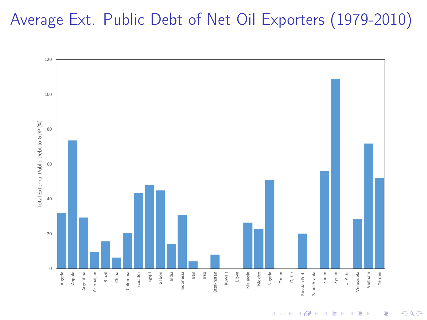# Average Ext. Public Debt of Net Oil Exporters (1979-2010)

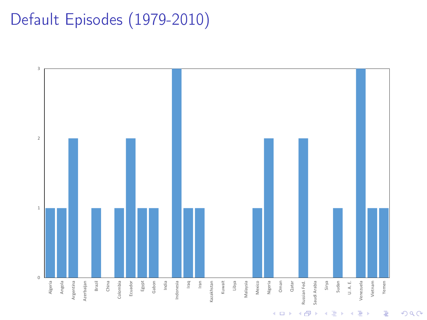# Default Episodes (1979-2010)

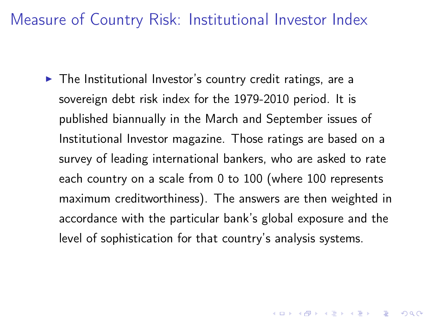<span id="page-6-0"></span>Measure of Country Risk: Institutional Investor Index

 $\triangleright$  The Institutional Investor's country credit ratings, are a sovereign debt risk index for the 1979-2010 period. It is published biannually in the March and September issues of Institutional Investor magazine. Those ratings are based on a survey of leading international bankers, who are asked to rate each country on a scale from 0 to 100 (where 100 represents maximum creditworthiness). The answers are then weighted in accordance with the particular bank's global exposure and the level of sophistication for that country's analysis systems.

4 D X 4 P X 3 X 4 B X 3 B X 9 Q O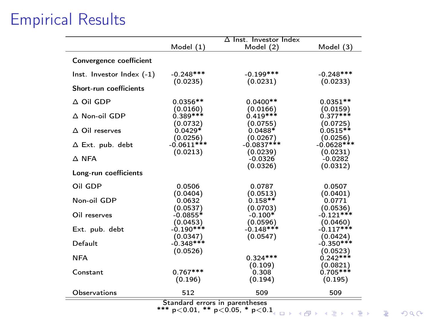#### Empirical Results ۰

|                                |                          | $\Delta$ Inst. Investor Index |                                   |  |
|--------------------------------|--------------------------|-------------------------------|-----------------------------------|--|
|                                | Model (1)                | Model (2)                     | Model (3)                         |  |
| Convergence coefficient        |                          |                               |                                   |  |
| $Inst.$ Investor Index $(-1)$  | $-0.248***$<br>(0.0235)  | $-0.199***$<br>(0.0231)       | $-0.248***$<br>(0.0233)           |  |
| <b>Short-run coefficients</b>  |                          |                               |                                   |  |
| $\triangle$ Oil GDP            | $0.0356**$               | $0.0400**$                    | $0.0351**$                        |  |
| $\triangle$ Non-oil GDP        | (0.0160)<br>$0.389***$   | (0.0166)<br>$0.419***$        | (0.0159)<br>$0.377***$            |  |
| $\Delta$ Oil reserves          | (0.0732)<br>$0.0429*$    | (0.0755)<br>$0.0488*$         | (0.0725)<br>$0.0515**$            |  |
| $\Delta$ Ext. pub. debt        | (0.0256)<br>$-0.0611***$ | (0.0267)<br>$-0.0837***$      | (0.0256)<br>$-0.0628$ ***         |  |
| $\triangle$ NFA                | (0.0213)                 | (0.0239)<br>$-0.0326$         | (0.0231)<br>$-0.0282$             |  |
| Long-run coefficients          |                          | (0.0326)                      | (0.0312)                          |  |
| Oil GDP                        | 0.0506                   | 0.0787                        | 0.0507                            |  |
| Non-oil GDP                    | (0.0404)<br>0.0632       | (0.0513)<br>$0.158**$         | (0.0401)<br>0.0771                |  |
| Oil reserves                   | (0.0537)<br>$-0.0855*$   | (0.0703)<br>$-0.100*$         | (0.0536)<br>$-0.121***$           |  |
| Ext. pub. debt                 | (0.0453)<br>$-0.190***$  | (0.0596)<br>$-0.148***$       | (0.0460)<br>$-0.117***$           |  |
| Default                        | (0.0347)<br>$-0.348***$  | (0.0547)                      | (0.0424)<br>$-0.350***$           |  |
| <b>NFA</b>                     | (0.0526)                 | $0.324***$                    | (0.0523)<br>$0.242***$            |  |
| Constant                       | $0.767***$<br>(0.196)    | (0.109)<br>0.308<br>(0.194)   | (0.0821)<br>$0.705***$<br>(0.195) |  |
| Observations                   | 512                      | 509                           | 509                               |  |
| Standard errors in parentheses |                          |                               |                                   |  |

Standard errors in parentheses \*\*\* p<0.01, \*\* p<0.05, \* p<0.[1](#page-6-0)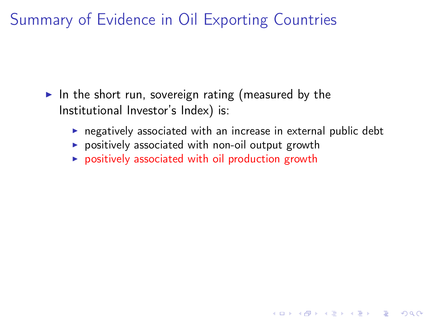Summary of Evidence in Oil Exporting Countries

- In the short run, sovereign rating (measured by the Institutional Investor's Index) is:
	- $\triangleright$  negatively associated with an increase in external public debt

K ロ ▶ K @ ▶ K 할 > K 할 > 1 할 > 1 ⊙ Q Q ^

- $\triangleright$  positively associated with non-oil output growth
- $\triangleright$  positively associated with oil production growth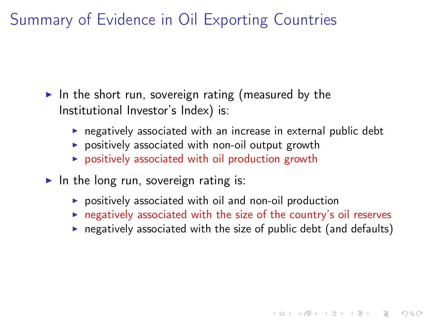Summary of Evidence in Oil Exporting Countries

- In the short run, sovereign rating (measured by the Institutional Investor's Index) is:
	- $\triangleright$  negatively associated with an increase in external public debt
	- $\triangleright$  positively associated with non-oil output growth
	- $\triangleright$  positively associated with oil production growth
- In the long run, sovereign rating is:
	- $\triangleright$  positively associated with oil and non-oil production
	- $\triangleright$  negatively associated with the size of the country's oil reserves
	- $\triangleright$  negatively associated with the size of public debt (and defaults)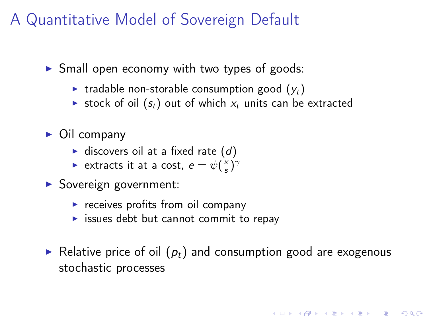# A Quantitative Model of Sovereign Default

- $\triangleright$  Small open economy with two types of goods:
	- radable non-storable consumption good  $(y_t)$
	- ightharpoonup stock of oil  $(s_t)$  out of which  $x_t$  units can be extracted
- $\triangleright$  Oil company
	- ightharpoonup discovers oil at a fixed rate  $(d)$
	- $\blacktriangleright$  extracts it at a cost,  $e = \psi(\frac{x}{s})^{\gamma}$
- $\triangleright$  Sovereign government:
	- $\triangleright$  receives profits from oil company
	- $\triangleright$  issues debt but cannot commit to repay
- Relative price of oil  $(p_t)$  and consumption good are exogenous stochastic processes

**KORKA REPARATION ADD**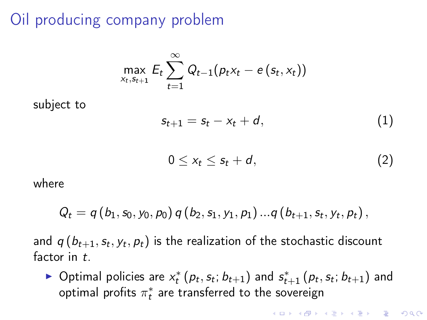# Oil producing company problem

$$
\max_{x_t, s_{t+1}} E_t \sum_{t=1}^{\infty} Q_{t-1}(p_t x_t - e(s_t, x_t))
$$

subject to

$$
s_{t+1} = s_t - x_t + d,\tag{1}
$$

$$
0\leq x_t\leq s_t+d,\qquad \qquad (2)
$$

where

$$
Q_{t} = q(b_{1}, s_{0}, y_{0}, p_{0}) q(b_{2}, s_{1}, y_{1}, p_{1}) ... q(b_{t+1}, s_{t}, y_{t}, p_{t}),
$$

and  $q\left( b_{t+1},s_{t},y_{t},p_{t}\right)$  is the realization of the stochastic discount factor in t.

► Optimal policies are  $x_t^*(p_t, s_t; b_{t+1})$  and  $s_{t+1}^*(p_t, s_t; b_{t+1})$  and optimal profits  $\pi^*_t$  are transferred to the sovereign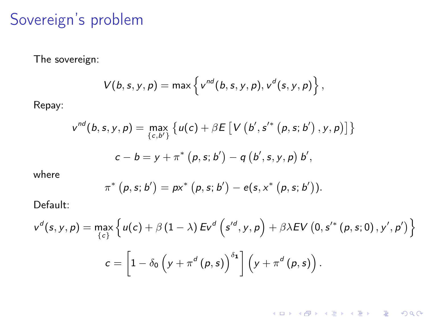### Sovereign's problem

The sovereign:

$$
V(b,s,y,p)=\max\left\{v^{nd}(b,s,y,p),v^d(s,y,p)\right\},\,
$$

Repay:

$$
v^{nd}(b, s, y, p) = \max_{\{c, b'\}} \{ u(c) + \beta E \left[ V \left( b', s'^{*} \left( p, s; b' \right), y, p \right) \right] \}
$$
  

$$
c - b = y + \pi^{*} \left( p, s; b' \right) - q \left( b', s, y, p \right) b',
$$

where

$$
\pi^*\left(p,s;b'\right)=px^*\left(p,s;b'\right)-e(s,x^*\left(p,s;b'\right)).
$$

Default:

$$
v^{d}(s, y, p) = \max_{\{c\}} \left\{ u(c) + \beta (1 - \lambda) E v^{d} \left( s^{d}, y, p \right) + \beta \lambda E V(0, s'^{*} (p, s; 0), y', p') \right\}
$$

$$
c = \left[ 1 - \delta_{0} \left( y + \pi^{d} (p, s) \right)^{\delta_{1}} \right] \left( y + \pi^{d} (p, s) \right).
$$

K □ ▶ K @ ▶ K 할 X K 할 X | 할 X 1 9 Q Q \*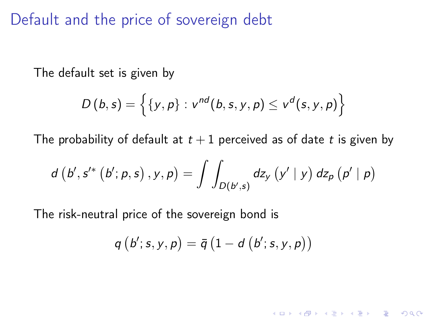Default and the price of sovereign debt

The default set is given by

$$
D(b,s) = \left\{ \{y,p\} : v^{nd}(b,s,y,p) \leq v^d(s,y,p) \right\}
$$

The probability of default at  $t + 1$  perceived as of date t is given by

$$
d\left(b', s'^{*}\left(b'; \rho, s\right), y, p\right) = \int\int_{D(b', s)} dz_{y}\left(y' \mid y\right) dz_{p}\left(p' \mid p\right)
$$

The risk-neutral price of the sovereign bond is

$$
q\left(b';s,y,p\right)=\bar{q}\left(1-d\left(b';s,y,p\right)\right)
$$

**KORK EX KEY KEY YOUR**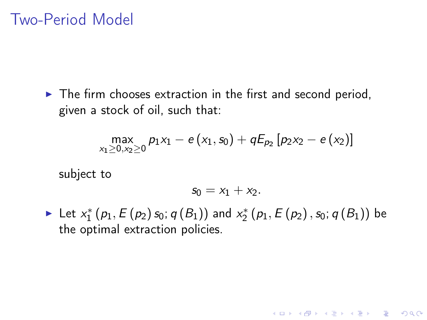$\triangleright$  The firm chooses extraction in the first and second period, given a stock of oil, such that:

$$
\max_{x_1 \geq 0, x_2 \geq 0} p_1 x_1 - e(x_1, s_0) + qE_{p_2} [p_2 x_2 - e(x_2)]
$$

subject to

$$
s_0=x_1+x_2.
$$

**KORK EX KEY KEY YOUR** 

► Let  $x_1^*$   $(p_1, E(p_2)$   $s_0; q(B_1))$  and  $x_2^*$   $(p_1, E(p_2)$  ,  $s_0; q(B_1))$  be the optimal extraction policies.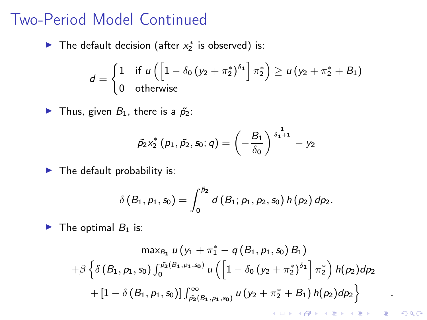#### Two-Period Model Continued

▶ The default decision (after  $x_2^*$  is observed) is:

$$
d = \begin{cases} 1 & \text{if } u\left(\left[1-\delta_0\left(y_2+\pi_2^*\right)^{\delta_1}\right]\pi_2^*\right) \geq u\left(y_2+\pi_2^*+B_1\right) \\ 0 & \text{otherwise} \end{cases}
$$

In Thus, given  $B_1$ , there is a  $\tilde{p}_2$ :

$$
\tilde{p_2}x_2^*\left(p_1,\tilde{p_2},s_0;q\right)=\left(-\frac{B_1}{\delta_0}\right)^{\frac{1}{\delta_1+1}}-y_2
$$

 $\blacktriangleright$  The default probability is:

$$
\delta(B_1,p_1,s_0)=\int_0^{\tilde{p}_2}d(B_1;p_1,p_2,s_0)h(p_2)\,dp_2.
$$

 $\blacktriangleright$  The optimal  $B_1$  is:

$$
\max_{B_1} u (y_1 + \pi_1^* - q (B_1, p_1, s_0) B_1)
$$
  
+  $\beta \left\{ \delta (B_1, p_1, s_0) \int_0^{p_2(B_1, p_1, s_0)} u \left( \left[ 1 - \delta_0 (y_2 + \pi_2^*)^{\delta_1} \right] \pi_2^* \right) h(p_2) dp_2 \right\}$   
+  $\left[ 1 - \delta (B_1, p_1, s_0) \right] \int_{p_2(B_1, p_1, s_0)}^{\infty} u (y_2 + \pi_2^* + B_1) h(p_2) dp_2$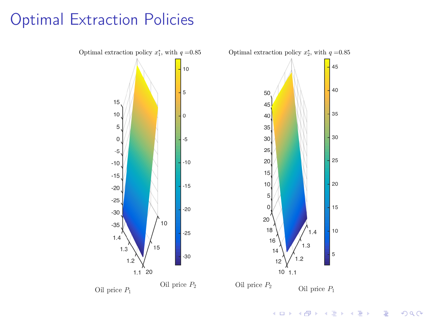# Optimal Extraction Policies





メロト メタト メミト メミト È  $290$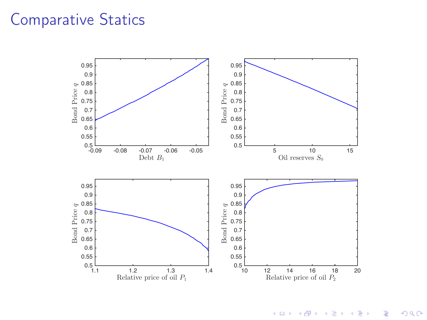#### Comparative Statics



メロト メタト メミト メミト È  $299$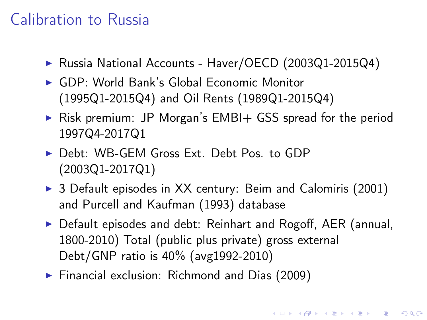# Calibration to Russia

- ▶ Russia National Accounts Haver/OECD (2003Q1-2015Q4)
- ▶ GDP: World Bank's Global Economic Monitor (1995Q1-2015Q4) and Oil Rents (1989Q1-2015Q4)
- $\triangleright$  Risk premium: JP Morgan's EMBI+ GSS spread for the period 1997Q4-2017Q1
- ▶ Debt: WB-GEM Gross Ext. Debt Pos. to GDP (2003Q1-2017Q1)
- ▶ 3 Default episodes in XX century: Beim and Calomiris (2001) and Purcell and Kaufman (1993) database
- $\triangleright$  Default episodes and debt: Reinhart and Rogoff, AER (annual, 1800-2010) Total (public plus private) gross external Debt/GNP ratio is 40% (avg1992-2010)
- $\blacktriangleright$  Financial exclusion: Richmond and Dias (2009)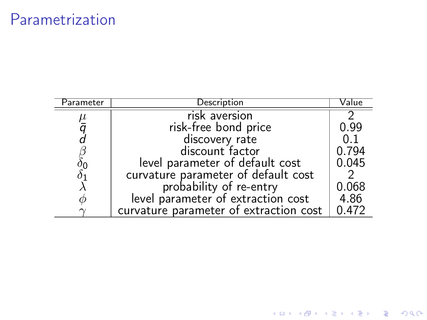### Parametrization

| Parameter  | Description                            | Value |
|------------|----------------------------------------|-------|
|            | risk aversion                          |       |
| ā          | risk-free bond price                   | 0.99  |
|            | discovery rate                         | 0.1   |
|            | discount factor                        | 0.794 |
| 00         | level parameter of default cost        | 0.045 |
| $\delta_1$ | curvature parameter of default cost    |       |
|            | probability of re-entry                | 0.068 |
| Ф          | level parameter of extraction cost     | 4.86  |
|            | curvature parameter of extraction cost | 0.472 |

K ロ ▶ K @ ▶ K 할 ▶ K 할 ▶ | 할 | X 9 Q @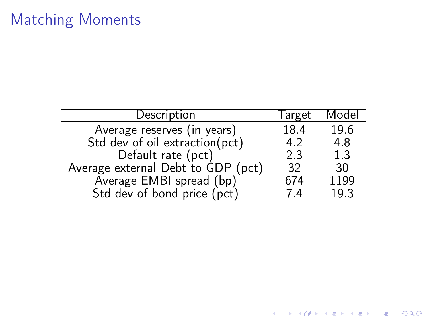# Matching Moments

| Description                        | Target | Model |
|------------------------------------|--------|-------|
| Average reserves (in years)        | 18.4   | 19.6  |
| Std dev of oil extraction(pct)     | 4.2    | 4.8   |
| Default rate (pct)                 | 2.3    | 1.3   |
| Average external Debt to GDP (pct) | 32     | 30    |
| Average EMBI spread (bp)           | 674    | 1199  |
| Std dev of bond price (pct)        | 7.4    | 19.3  |

K ロ ▶ K @ ▶ K 할 ▶ K 할 ▶ | 할 | X 9 Q @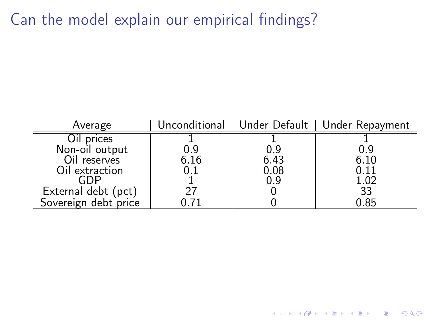Can the model explain our empirical findings?

| Average              | Unconditional | Under Detault | Under Repayment |
|----------------------|---------------|---------------|-----------------|
| Oil prices           |               |               |                 |
| Non-oil output       | 0.9           | 0.9           | 0.9             |
| Oil reserves         | 6.16          | 6.43          | 6.10            |
| Oil extraction       |               | $0.08\,$      |                 |
|                      |               | 0.9           | 1.02            |
| External debt (pct)  |               |               | 33              |
| Sovereign debt price |               |               | 0.85            |

K ロ ▶ K @ ▶ K 할 ▶ K 할 ▶ | 할 | X 9 Q @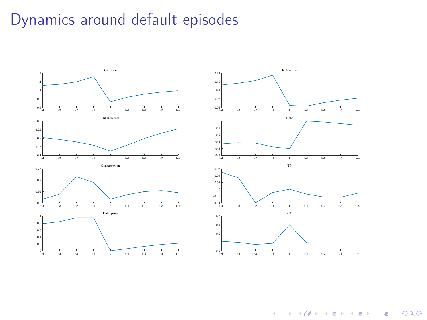# Dynamics around default episodes





K ロ X K @ X K 할 X K 할 X ( 할 )  $2990$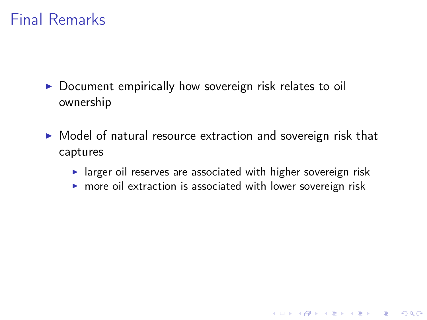# Final Remarks

- $\triangleright$  Document empirically how sovereign risk relates to oil ownership
- $\triangleright$  Model of natural resource extraction and sovereign risk that captures
	- $\blacktriangleright$  larger oil reserves are associated with higher sovereign risk
	- $\triangleright$  more oil extraction is associated with lower sovereign risk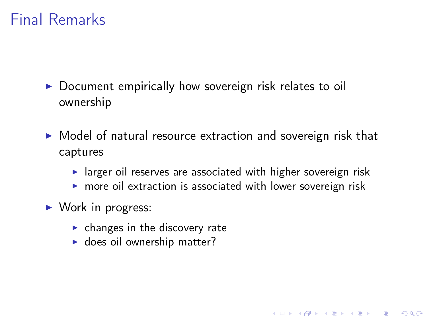# Final Remarks

- $\triangleright$  Document empirically how sovereign risk relates to oil ownership
- $\triangleright$  Model of natural resource extraction and sovereign risk that captures
	- $\blacktriangleright$  larger oil reserves are associated with higher sovereign risk
	- $\triangleright$  more oil extraction is associated with lower sovereign risk

**KORKA REPARATION ADD** 

- $\triangleright$  Work in progress:
	- $\blacktriangleright$  changes in the discovery rate
	- $\blacktriangleright$  does oil ownership matter?